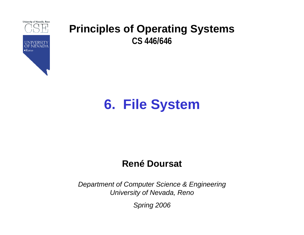

# **6. File System**

#### **René Doursat**

*Department of Computer Science & Engineering University of Nevada, Reno*

*Spring 2006*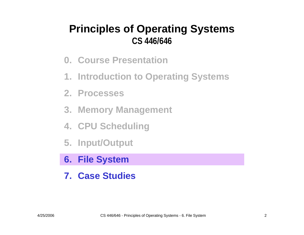- **0. Course Presentation**
- **1. Introduction to Operating Systems**
- **2. Processes**
- **3. Memory Management**
- **4. CPU Scheduling**
- **5. Input/Output**
- **6. File System**
- **7. Case Studies**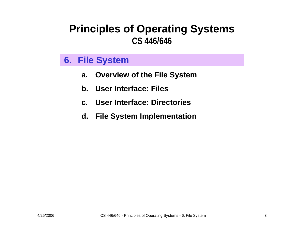#### **6. File System**

- **a.Overview of the File System**
- **b.User Interface: Files**
- **c. User Interface: Directories**
- **d. File System Implementation**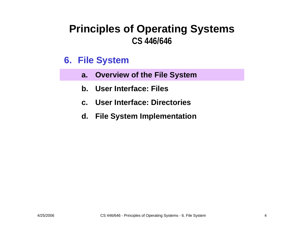#### **6. File System**

- **a. Overview of the File System**
- **b. User Interface: Files**
- **c. User Interface: Directories**
- **d. File System Implementation**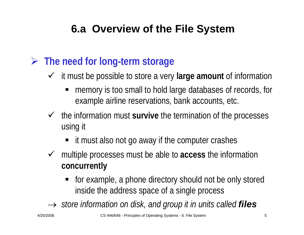#### ¾ **The need for long-term storage**

- 9 it must be possible to store a very **large amount** of information
	- ٠ memory is too small to hold large databases of records, for example airline reservations, bank accounts, etc.
- $\checkmark$  the information must survive the termination of the processes using it
	- it must also not go away if the computer crashes
- 9 multiple processes must be able to **access** the information **concurrently**
	- for example, a phone directory should not be only stored inside the address space of a single process

 $\rightarrow$  *store information on disk, and group it in units called files*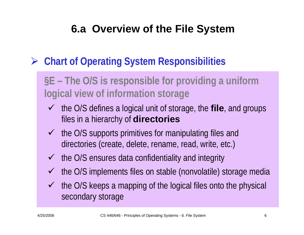## ¾ **Chart of Operating System Responsibilities**

## **§E – The O/S is responsible for he for providing a uniform logical view of information storage**

- ◆ the O/S defines a logical unit of storage, the **file**, and groups files in a hierarchy of **directories**
- $\checkmark$  the O/S supports primitives for manipulating files and directories (create, delete, rename, read, write, etc.)
- $\checkmark$  the O/S ensures data confidentiality and integrity
- $\sqrt{ }$ the O/S implements files on stable (nonvolatile) storage media
- $\checkmark$  the O/S keeps a mapping of the logical files onto the physical secondary storage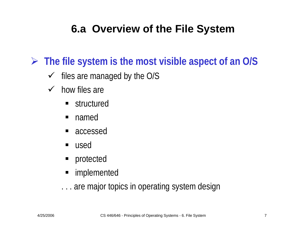¾ **The file system is the most visible aspect of an O/S**

- $\sqrt{ }$ files are managed by the O/S
- $\checkmark$  how files are
	- **structured**
	- ٠ named
	- accessed
	- ٠ used
	- **Perodected**
	- implemented
	- . . . are major topics in operating system design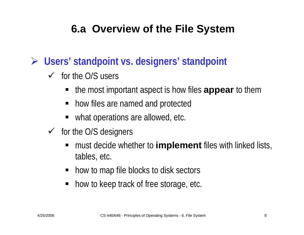¾ **Users' standpoint vs. designers' standpoint**

- $\checkmark$  for the O/S users
	- the most important aspect is how files **appear** to them
	- **how files are named and protected**
	- what operations are allowed, etc.
- $\checkmark$  for the O/S designers
	- must decide whether to **implement** files with linked lists, tables, etc.
	- how to map file blocks to disk sectors
	- ٠ how to keep track of free storage, etc.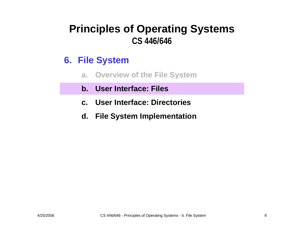#### **6. File System**

- **a.Overview of the File System**
- **b. User Interface: Files**
- **c. User Interface: Directories**
- **d. File System Implementation**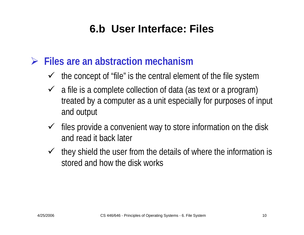### **6.b User Interface: Files**

#### ¾ **Files are an abstraction mechanism**

- $\checkmark$  the concept of "file" is the central element of the file system
- $\checkmark$  a file is a complete collection of data (as text or a program) treated by a computer as a unit especially for purposes of input and output
- $\checkmark$  files provide a convenient way to store information on the disk and read it back later
- $\checkmark$  they shield the user from the details of where the information is stored and how the disk works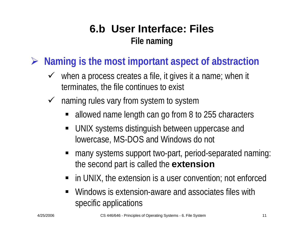### **6.b User Interface: FilesFile naming**

¾ **Naming is the most important aspect of abstraction**

- $\checkmark$  when a process creates a file, it gives it a name; when it terminates, the file continues to exist
- $\sqrt{ }$  naming rules vary from system to system
	- allowed name length can go from 8 to 255 characters
	- UNIX systems distinguish between uppercase and lowercase, MS-DOS and Windows do not
	- many systems support two-part, period-separated naming: the second part is called the **extension**
	- in UNIX, the extension is a user convention; not enforced
	- ٠ Windows is extension-aware and associates files with specific applications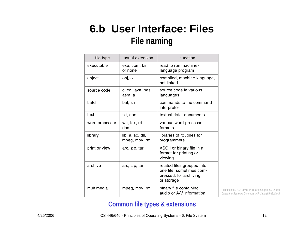#### **6.b User Interface: Files File naming**

| file type      | usual extension                   | function                                                                                       |  |
|----------------|-----------------------------------|------------------------------------------------------------------------------------------------|--|
| executable     | exe, com, bin<br>or none          | read to run machine-<br>language program                                                       |  |
| object         | obj, o                            | compiled, machine language,<br>not linked                                                      |  |
| source code    | c, cc, java, pas,<br>asm, a       | source code in various<br>languages                                                            |  |
| batch          | bat, sh                           | commands to the command<br>interpreter                                                         |  |
| text           | txt, doc                          | textual data, documents                                                                        |  |
| word processor | wp, tex, rrf,<br>doc              | various word-processor<br>formats                                                              |  |
| library        | lib, a, so, dll,<br>mpeg, mov, rm | libraries of routines for<br>programmers                                                       |  |
| print or view  | arc, zip, tar                     | ASCII or binary file in a<br>format for printing or<br>viewing                                 |  |
| archive        | arc, zip, tar                     | related files grouped into<br>one file, sometimes com-<br>pressed, for archiving<br>or storage |  |
| multimedia     | mpeg, mov, rm                     | binary file containing<br>audio or A/V information                                             |  |

Silberschatz, A., Galvin, P. B. and Gagne. G. (2003) *Operating Systems Concepts with Java (6th Edition).* 

#### **Common file types & extensions**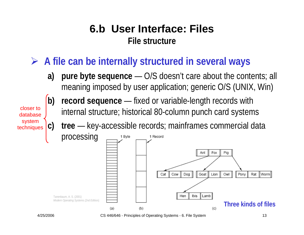#### **6.b User Interface: FilesFile structure**

## ¾ **A file can be internally structured in several ways**

**a) pure byte sequence** — O/S doesn't care about the contents; all meaning imposed by user application; generic O/S (UNIX, Win)

closer todatabasesystem techniques



**c) tree** — key-accessible records; mainframes commercial data

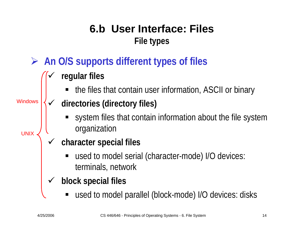## **6.b User Interface: FilesFile types**

- ¾ **An O/S supports different types of files**
	- $\checkmark$  **regular files**
		- the files that contain user information, ASCII or binary

#### $\checkmark$  **directories (directory files) Windows**

- system files that contain information about the file system organization
- $\checkmark$  **character special files**
	- used to model serial (character-mode) I/O devices: terminals, network
- $\checkmark$  **block special files**
	- used to model parallel (block-mode) I/O devices: disks

**UNIX**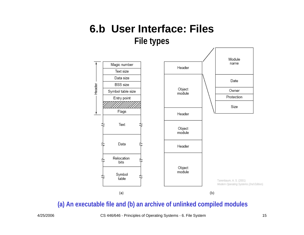#### **6.b User Interface: FilesFile types**



#### **(a) An executable file and (b) an archive of unlinked compiled modules**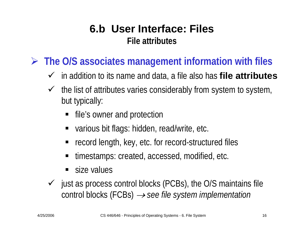#### **6.b User Interface: FilesFile attributes**

¾ **The O/S associates management information with files**

- 9 in addition to its name and data, a file also has **file attributes**
- $\sqrt{ }$  the list of attributes varies considerably from system to system, but typically:
	- file's owner and protection
	- various bit flags: hidden, read/write, etc.
	- record length, key, etc. for record-structured files
	- timestamps: created, accessed, modified, etc.
	- size values
- $\checkmark$  just as process control blocks (PCBs), the O/S maintains file control blocks (FCBs) → *see file system implementation*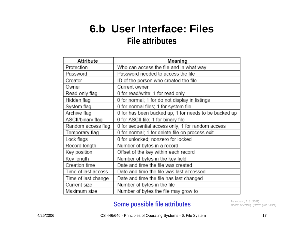#### **6.b User Interface: Files File attributes**

| Attribute           | Meaning                                               |  |
|---------------------|-------------------------------------------------------|--|
| Protection          | Who can access the file and in what way               |  |
| Password            | Password needed to access the file                    |  |
| Creator             | ID of the person who created the file                 |  |
| Owner               | Current owner                                         |  |
| Read-only flag      | 0 for read/write; 1 for read only                     |  |
| Hidden flag         | 0 for normal; 1 for do not display in listings        |  |
| System flag         | 0 for normal files; 1 for system file                 |  |
| Archive flag        | 0 for has been backed up; 1 for needs to be backed up |  |
| ASCII/binary flag   | 0 for ASCII file; 1 for binary file                   |  |
| Random access flag  | 0 for sequential access only; 1 for random access     |  |
| Temporary flag      | 0 for normal; 1 for delete file on process exit       |  |
| Lock flags          | 0 for unlocked; nonzero for locked                    |  |
| Record length       | Number of bytes in a record                           |  |
| Key position        | Offset of the key within each record                  |  |
| Key length          | Number of bytes in the key field                      |  |
| Creation time       | Date and time the file was created                    |  |
| Time of last access | Date and time the file was last accessed              |  |
| Time of last change | Date and time the file has last changed               |  |
| Current size        | Number of bytes in the file                           |  |
| Maximum size        | Number of bytes the file may grow to                  |  |

#### **Some possible file attributes** Tanenbaum, A. S. (2001) **Some possible file attributes**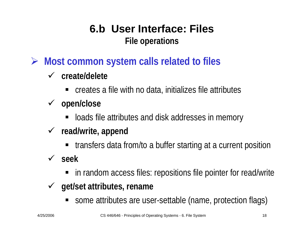## **6.b User Interface: FilesFile operations**

¾ **Most common system calls related to files**

#### 9 **create/delete**

- creates a file with no data, initializes file attributes
- 9 **open/close**
	- loads file attributes and disk addresses in memory
- 9 **read/write, append**
	- **The final starts of a from/to a buffer starting at a current position**
- 9 **seek**
	- in random access files: repositions file pointer for read/write
- 9 **get/set attributes, rename**
	- some attributes are user-settable (name, protection flags)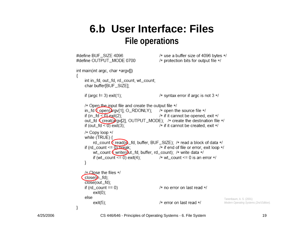#### **6.b User Interface: FilesFile operations**

```
#define BUF_SIZE 4096
                                               /* use a buffer size of 4096 bytes */
#define OUTPUT MODE 0700
                                               /* protection bits for output file */
int main(int argc, char *argy[])
    int in_fd, out_fd, rd_count, wt_count;
    char buffer[BUF_SIZE];
    if (argc != 3) exit(1);
                                               /* syntax error if argc is not 3 \times/
    /* Open the input file and create the output file */in_fd \epsilon open(\lambdargy[1], O_RDONLY); /* open the source file */
    if (in fd < 0) exit(2);
                                               /* if it cannot be opened, exit */
    out_fd € creat(argv[2], OUTPUT_MODE); /* create the destination file */
    if (out_fd \leq 0) exit(3):
                                               /* if it cannot be created, exit */
    /* Copy loop */
    while (TRUE) {
         rd_count E read(in _fd, buffer, BUF_SIZE); /* read a block of data */
    if (rd_count \leq 0) break;
                                               /* if end of file or error, exit loop */wt_count \epsilon write(out_fd, buffer, rd_count); /* write data */
         if (wt_count \leq 0) exit(4);
                                         /* wt count <= 0 is an error */₹
    /* Close the files */close(\mathbf{h}_f(d))close(out_fd);
     if (rd\_count == 0)/* no error on last read */
         exit(0);else
                                                                                    Tanenbaum, A. S. (2001)
                                               /* error on last read */
         exit(5);Modern Operating Systems (2nd Edition). \}
```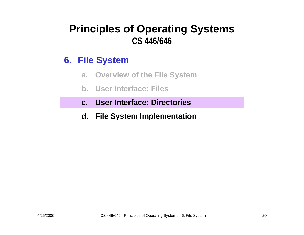#### **6. File System**

- **a.Overview of the File System**
- **b. User Interface: Files**
- **c. User Interface: Directories**
- **d. File System Implementation**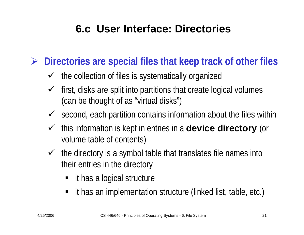¾ **Directories are special files that keep track of other files**

- $\checkmark$  the collection of files is systematically organized
- $\checkmark$  first, disks are split into partitions that create logical volumes (can be thought of as "virtual disks")
- $\checkmark$  second, each partition contains information about the files within
- $\checkmark$  this information is kept in entries in a **device directory** (or volume table of contents)
- $\checkmark$  the directory is a symbol table that translates file names into their entries in the directory
	- it has a logical structure
	- it has an implementation structure (linked list, table, etc.)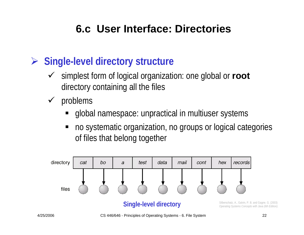## ¾ **Single-level directory structure**

- $\sqrt{ }$  simplest form of logical organization: one global or **root** directory containing all the files
- $\sqrt{ }$  problems
	- global namespace: unpractical in multiuser systems
	- $\blacksquare$  no systematic organization, no groups or logical categories of files that belong together

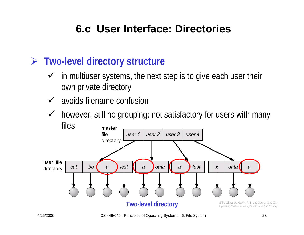#### ¾ **Two-level directory structure**

- $\checkmark$  in multiuser systems, the next step is to give each user their own private directory
- $\checkmark$ avoids filename confusion
- $\checkmark$  however, still no grouping: not satisfactory for users with many files

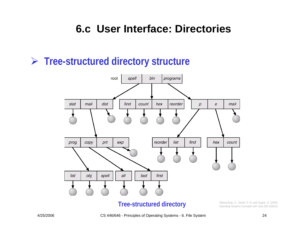#### ¾ **Tree-structured directory structure**



Silberschatz, A., Galvin, P. B. and Gagne. G. (2003) *Operating Systems Concepts with Java (6th Edition).*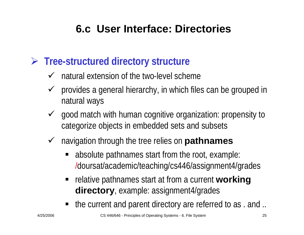#### ¾ **Tree-structured directory structure**

- $\checkmark$  natural extension of the two-level scheme
- $\sqrt{ }$  provides a general hierarchy, in which files can be grouped in natural ways
- $\sqrt{ }$  good match with human cognitive organization: propensity to categorize objects in embedded sets and subsets
- $\checkmark$  navigation through the tree relies on **pathnames**
	- absolute pathnames start from the root, example: /doursat/academic/teaching/cs446/assignment4/grades
	- **Fig. 3** relative pathnames start at from a current **working directory**, example: assignment4/grades
	- the current and parent directory are referred to as . and ..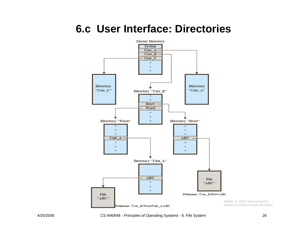

Stallings, W. (2004) *Operating Systems: Internals and Design Principles (5th Edition).*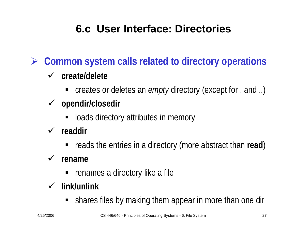¾ **Common system calls related to directory operations**

#### 9 **create/delete**

- creates or deletes an *empty* directory (except for . and ..)
- 9 **opendir/closedir**
	- **-** loads directory attributes in memory
- 9 **readdir**
	- **-** reads the entries in a directory (more abstract than read)

#### $\checkmark$  rename

**Fig. 2** renames a directory like a file

#### 9 **link/unlink**

**Shares files by making them appear in more than one direct-**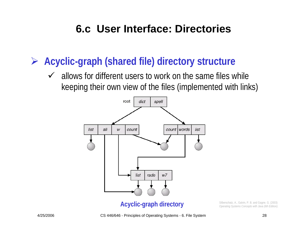### ¾ **Acyclic-graph (shared file) directory structure**

 $\checkmark$  allows for different users to work on the same files while keeping their own view of the files (implemented with links)



#### **Acyclic-graph directory** Silberschatz, A., Galvin, P. B. and Gagne. G. (2003) *Operating Systems Concepts with Java (6th Edition).*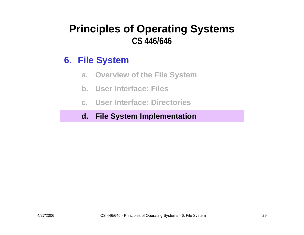#### **6. File System**

- **a.Overview of the File System**
- **b. User Interface: Files**
- **c. User Interface: Directories**

#### **d. File System Implementation**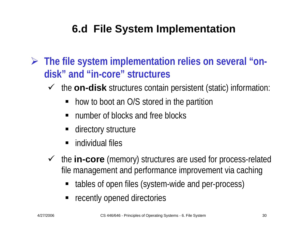¾ **The file system implementation relies on several "ondisk" and "in-core" structures**

- $\sqrt{ }$  the **on-disk** structures contain persistent (static) information:
	- how to boot an O/S stored in the partition
	- number of blocks and free blocks
	- directory structure
	- **n** individual files
- ◆ the **in-core** (memory) structures are used for process-related file management and performance improvement via caching
	- ٠ tables of open files (system-wide and per-process)
	- **•** recently opened directories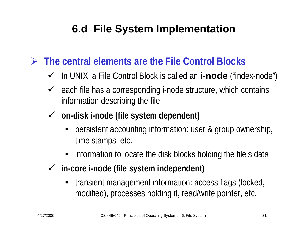### ¾ **The central elements are the File Control Blocks**

- 9 In UNIX, a File Control Block is called an **i-node** ("index-node")
- $\checkmark$  each file has a corresponding i-node structure, which contains information describing the file
- 9 **on-disk i-node (file system dependent)**
	- persistent accounting information: user & group ownership, time stamps, etc.
	- **EXT** information to locate the disk blocks holding the file's data
- 9 **in-core i-node (file system independent)**
	- transient management information: access flags (locked, modified), processes holding it, read/write pointer, etc.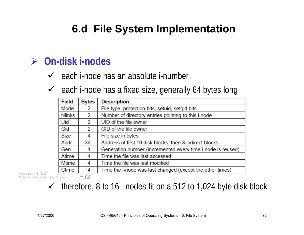#### ¾ **On-disk i-nodes**

 $\checkmark$  each i-node has an absolute i-number

 $\checkmark$  each i-node has a fixed size, generally 64 bytes long

| Field  | Bytes | Description                                                 |  |
|--------|-------|-------------------------------------------------------------|--|
| Mode   | 2     | File type, protection bits, setuid, setgid bits             |  |
| Nlinks | 2     | Number of directory entries pointing to this i-node         |  |
| Uid    | 2     | UID of the file owner                                       |  |
| Gid    | 2     | GID of the file owner                                       |  |
| Size   | 4     | File size in bytes                                          |  |
| Addr   | 39    | Address of first 10 disk blocks, then 3 indirect blocks     |  |
| Gen    |       | Generation number (incremented every time i-node is reused) |  |
| Atime  | 4     | Time the file was last accessed                             |  |
| Mtime  | 4     | Time the file was last modified                             |  |
| Ctime  | 4     | Time the i-node was last changed (except the other times)   |  |

Tanenbaum, A. S. (2001) *Modern Operating Systems (2nd Edition).* 

 $= 64$ 

 $\sqrt{ }$ therefore, 8 to 16 i-nodes fit on a 512 to 1,024 byte disk block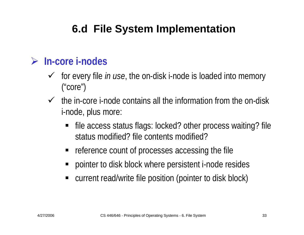#### ¾ **In-core i-nodes**

- ◆ for every file *in use*, the on-disk i-node is loaded into memory ("core")
- $\checkmark$  the in-core i-node contains all the information from the on-disk i-node, plus more:
	- file access status flags: locked? other process waiting? file status modified? file contents modified?
	- **•** reference count of processes accessing the file
	- ٠ pointer to disk block where persistent i-node resides
	- ٠ current read/write file position (pointer to disk block)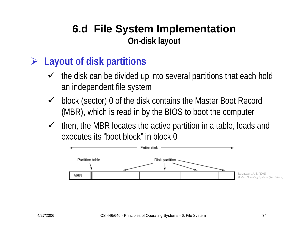#### **6.d File System Implementation On-disk layout**

#### ¾ **Layout of disk partitions**

- $\checkmark$  the disk can be divided up into several partitions that each hold an independent file system
- $\checkmark$  block (sector) 0 of the disk contains the Master Boot Record (MBR), which is read in by the BIOS to boot the computer
- $\checkmark$  then, the MBR locates the active partition in a table, loads and executes its "boot block" in block 0

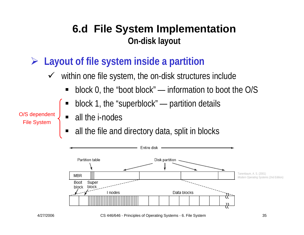#### **6.d File System Implementation On-disk layout**

#### ¾ **Layout of file system inside a partition**

- $\sqrt{ }$  within one file system, the on-disk structures include
	- ٠ block 0, the "boot block" — information to boot the O/S
	- ٠ block 1, the "superblock" — partition details
	- all the *i*-nodes
	- ٠ all the file and directory data, split in blocks



O/S dependent File System

<sup>4/27/2006</sup> CS 446/646 - Principles of Operating Systems - 6. File System 35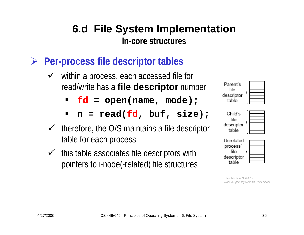- ¾ **Per-process file descriptor tables**
	- $\checkmark$  within a process, each accessed file for read/write has a **file descriptor** number
		- $\blacksquare$ **fd = open(name, mode);**
		- ٠ **n = read(fd, buf, size);**
	- $\checkmark$  therefore, the O/S maintains a file descriptor table for each process
	- $\checkmark$  this table associates file descriptors with pointers to i-node(-related) file structures

file

table

| Unrelated  |  |
|------------|--|
| process    |  |
| file       |  |
| descriptor |  |
| table      |  |

Tanenbaum, A. S. (2001) *Modern Operating Systems (2nd Edition).*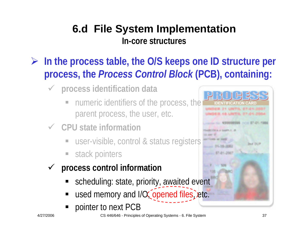- ¾ **In the process table, the O/S keeps one ID structure per process, the** *Process Control Block* **(PCB), containing:**
	- $\checkmark$  **process identification data**
		- numeric identifiers of the process, the parent process, the user, etc.
	- 9 **CPU state information**
		- user-visible, control & status registers
		- stack pointers
	- $\sqrt{ }$  **process control information**
		- scheduling: state, priority, awaited event
		- used memory and I/O, opened files, etc.
		- ٠ pointer to next PCB

**Band 28129** 

**DENTIFICATION CARI**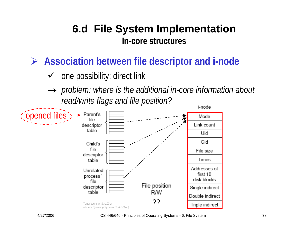¾ **Association between file descriptor and i-node**

- $\sqrt{ }$ one possibility: direct link
- → *problem: where is the additional in-core information about read/write flags and file position?* i-node

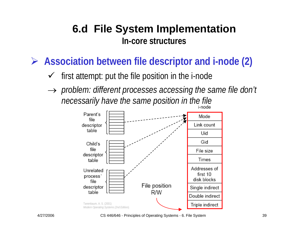¾ **Association between file descriptor and i-node (2)**

- $\checkmark$ first attempt: put the file position in the i-node
- → *problem: different processes accessing the same file don't necessarily have the same position in the file*

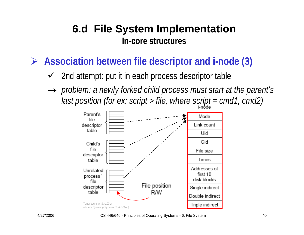¾ **Association between file descriptor and i-node (3)**

- $\checkmark$  2nd attempt: put it in each process descriptor table
- → *problem: a newly forked child process must start at the parent's last position (for ex: script > file, where script = cmd1, cmd2)*

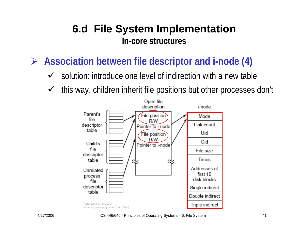¾ **Association between file descriptor and i-node (4)**

- $\checkmark$ solution: introduce one level of indirection with a new table
- $\checkmark$ this way, children inherit file positions but other processes don't

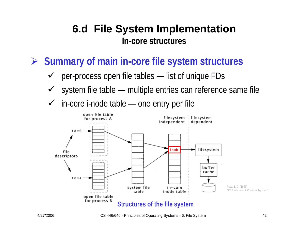¾ **Summary of main in-core file system structures**

- $\checkmark$ per-process open file tables — list of unique FDs
- $\checkmark$ system file table — multiple entries can reference same file
- $\checkmark$  $\checkmark$  in-core i-node table — one entry per file

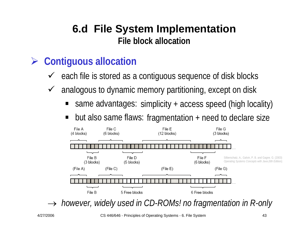### ¾ **Contiguous allocation**

- $\checkmark$ each file is stored as a contiguous sequence of disk blocks
- $\sqrt{ }$  analogous to dynamic memory partitioning, except on disk
	- ٠ ■ same advantages: simplicity + access speed (high locality)
	- ٠ ■ but also same flaws: fragmentation + need to declare size



→ *however, widely used in CD-ROMs! no fragmentation in R-only*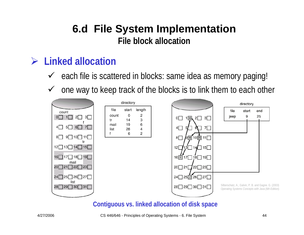#### ¾ **Linked allocation**

- $\checkmark$  each file is scattered in blocks: same idea as memory paging!
- $\checkmark$ one way to keep track of the blocks is to link them to each other



#### **Contiguous vs. linked allocation of disk space**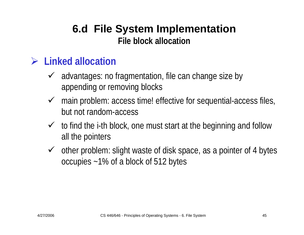#### ¾ **Linked allocation**

- $\checkmark$  advantages: no fragmentation, file can change size by appending or removing blocks
- $\checkmark$  main problem: access time! effective for sequential-access files, but not random-access
- $\checkmark$  to find the i-th block, one must start at the beginning and follow all the pointers
- $\checkmark$  other problem: slight waste of disk space, as a pointer of 4 bytes occupies ~1% of a block of 512 bytes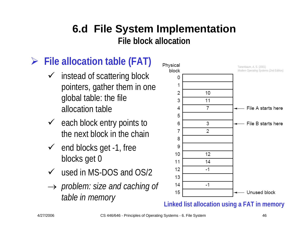## ¾ **File allocation table (FAT)**

- $\checkmark$  instead of scattering block pointers, gather them in one global table: the file allocation table
- $\checkmark$  each block entry points to the next block in the chain
- $\checkmark$  end blocks get -1, free blocks get 0
- $\checkmark$  used in MS-DOS and OS/2
- → *problem: size and caching of table in memory*



**Linked list allocation using a FAT in m emory**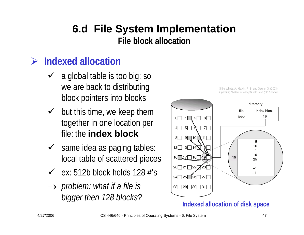#### **File block allocation**

## ¾ **Indexed allocation**

- $\checkmark$  a global table is too big: so we are back to distributing block pointers into blocks
- $\checkmark$  but this time, we keep them together in one location per file: the **index block**
- $\checkmark$  same idea as paging tables: local table of scattered pieces
- $\checkmark$  ex: 512b block holds 128 #'s
- → *problem: what if a file is bigger then 128 blocks?*



**Indexed allocation of disk space**

Silberschatz, A., Galvin, P. B. and Gagne. G. (2003) *Operating Systems Concepts with Java (6th Edition).*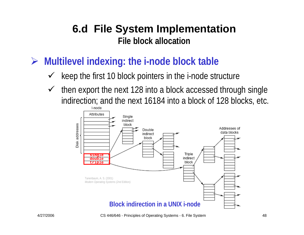¾ **Multilevel indexing: the i-node block table**

- $\checkmark$ keep the first 10 block pointers in the i-node structure
- $\checkmark$  then export the next 128 into a block accessed through single indirection; and the next 16184 into a block of 128 blocks, etc.

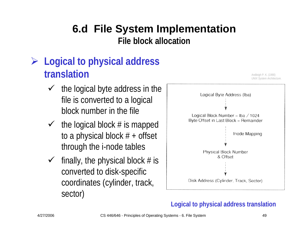## ¾ **Logical to physical address translation**

- $\checkmark$  the logical byte address in the file is converted to a logical block number in the file
- $\checkmark$  the logical block # is mapped to a physical block  $# +$  offset through the i-node tables
- $\checkmark$ finally, the physical block  $#$  is converted to disk-specific coordinates (cylinder, track, sector)



#### **Logical to physical address translation**

Andleigh P. K. (1990)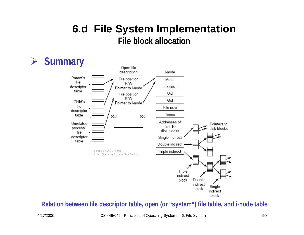#### ¾ **Summary**



#### **Relation between file descriptor table, open (or "system") file table, and i-node table**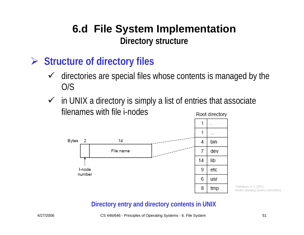#### **6.d File System Implementation Directory structure**

#### ¾ **Structure of directory files**

- $\sqrt{ }$  directories are special files whose contents is managed by the O/S
- $\checkmark$  in UNIX a directory is simply a list of entries that associate filenames with file i-nodesRoot directory



Tanenbaum, A. S. (2001) *Modern Operating Systems (2nd Edition).* 

#### **Directory entry and directory contents in UNIX**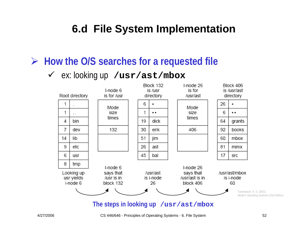¾ **How the O/S searches for a requested file**

#### $\sqrt{ }$ ex: looking up **/usr/ast/mbox**



**The steps in looking up /usr/ast/mbox**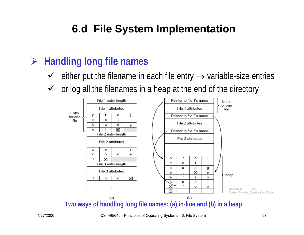### ¾ **Handling long file names**

- $\checkmark$  either put the filename in each file entry  $\to$  variable-size entries
- $\checkmark$ or log all the filenames in a heap at the end of the directory



**Two ways of handling long file names: (a) in-line and (b) in a heap**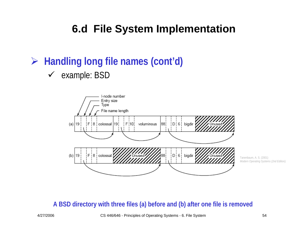## ¾ **Handling long file names (cont'd)**

#### $\checkmark$  example: BSD



Tanenbaum, A. S. (2001) *Modern Operating Systems (2nd Edition).* 

#### **A BSD directory with three files (a) before and (b) after one file is removed**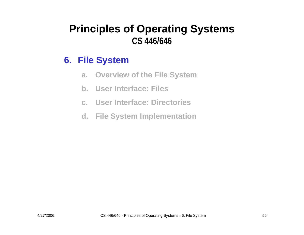#### **6. File System**

- **a.Overview of the File System**
- **b. User Interface: Files**
- **c. User Interface: Directories**
- **d. File System Implementation**